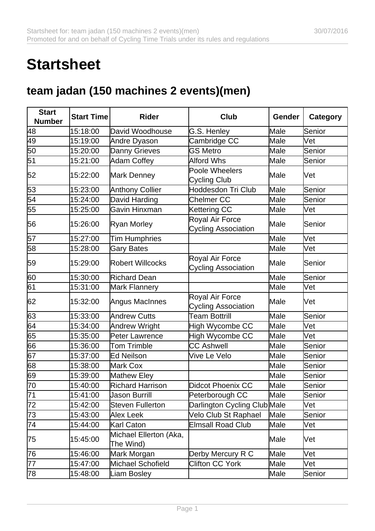## **Startsheet**

## **team jadan (150 machines 2 events)(men)**

| <b>Start</b><br><b>Number</b> | <b>Start Time</b> | <b>Rider</b>                        | <b>Club</b>                                   | Gender | <b>Category</b> |
|-------------------------------|-------------------|-------------------------------------|-----------------------------------------------|--------|-----------------|
| 48                            | 15:18:00          | David Woodhouse                     | G.S. Henley                                   | Male   | Senior          |
| 49                            | 15:19:00          | Andre Dyason                        | Cambridge CC                                  | Male   | lVet            |
| 50                            | 15:20:00          | <b>Danny Grieves</b>                | <b>GS Metro</b>                               | Male   | Senior          |
| 51                            | 15:21:00          | Adam Coffey                         | <b>Alford Whs</b>                             | Male   | Senior          |
| 52                            | 15:22:00          | Mark Denney                         | Poole Wheelers<br>Cycling Club                | Male   | Vet             |
| 53                            | 15:23:00          | <b>Anthony Collier</b>              | <b>Hoddesdon Tri Club</b>                     | Male   | Senior          |
| 54                            | 15:24:00          | David Harding                       | Chelmer CC                                    | Male   | Senior          |
| 55                            | 15:25:00          | Gavin Hinxman                       | Kettering CC                                  | Male   | Vet             |
| 56                            | 15:26:00          | Ryan Morley                         | Royal Air Force<br><b>Cycling Association</b> | Male   | Senior          |
| 57                            | 15:27:00          | <b>Tim Humphries</b>                |                                               | Male   | Vet             |
| 58                            | 15:28:00          | <b>Gary Bates</b>                   |                                               | Male   | Vet             |
| 59                            | 15:29:00          | <b>Robert Willcocks</b>             | Royal Air Force<br><b>Cycling Association</b> | Male   | Senior          |
| 60                            | 15:30:00          | <b>Richard Dean</b>                 |                                               | Male   | Senior          |
| 61                            | 15:31:00          | <b>Mark Flannery</b>                |                                               | Male   | Vet             |
| 62                            | 15:32:00          | Angus MacInnes                      | Royal Air Force<br><b>Cycling Association</b> | Male   | Vet             |
| 63                            | 15:33:00          | <b>Andrew Cutts</b>                 | <b>Team Bottrill</b>                          | Male   | Senior          |
| 64                            | 15:34:00          | Andrew Wright                       | High Wycombe CC                               | Male   | Vet             |
| 65                            | 15:35:00          | <b>Peter Lawrence</b>               | High Wycombe CC                               | Male   | lVet            |
| 66                            | 15:36:00          | <b>Tom Trimble</b>                  | <b>CC Ashwell</b>                             | Male   | Senior          |
| 67                            | 15:37:00          | <b>Ed Neilson</b>                   | Vive Le Velo                                  | Male   | Senior          |
| 68                            | 15:38:00          | Mark Cox                            |                                               | Male   | Senior          |
| 69                            | 15:39:00          | Mathew Eley                         |                                               | Male   | Senior          |
| 70                            | 15:40:00          | <b>Richard Harrison</b>             | <b>Didcot Phoenix CC</b>                      | Male   | Senior          |
| 71                            | 15:41:00          | <b>Jason Burrill</b>                | Peterborough CC                               | Male   | Senior          |
| 72                            | 15:42:00          | <b>Steven Fullerton</b>             | Darlington Cycling Club Male                  |        | Vet             |
| 73                            | 15:43:00          | Alex Leek                           | Velo Club St Raphael                          | Male   | Senior          |
| 74                            | 15:44:00          | Karl Caton                          | <b>Elmsall Road Club</b>                      | Male   | lVet            |
| 75                            | 15:45:00          | Michael Ellerton (Aka,<br>The Wind) |                                               | Male   | Vet             |
| 76                            | 15:46:00          | Mark Morgan                         | Derby Mercury R C                             | Male   | lVet            |
| 77                            | 15:47:00          | Michael Schofield                   | Clifton CC York                               | Male   | Vet             |
| 78                            | 15:48:00          | <b>Liam Bosley</b>                  |                                               | Male   | Senior          |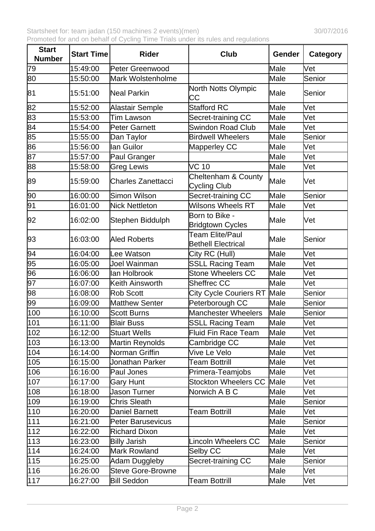| <b>Start</b><br><b>Number</b> | <b>Start Time</b> | <b>Rider</b>              | Club                                                | <b>Gender</b> | Category |
|-------------------------------|-------------------|---------------------------|-----------------------------------------------------|---------------|----------|
| 79                            | 15:49:00          | Peter Greenwood           |                                                     | Male          | Vet      |
| 80                            | 15:50:00          | Mark Wolstenholme         |                                                     | Male          | Senior   |
| 81                            | 15:51:00          | Neal Parkin               | North Notts Olympic<br>СC                           | Male          | Senior   |
| 82                            | 15:52:00          | Alastair Semple           | <b>Stafford RC</b>                                  | Male          | Vet      |
| 83                            | 15:53:00          | Tim Lawson                | Secret-training CC                                  | Male          | Vet      |
| 84                            | 15:54:00          | Peter Garnett             | <b>Swindon Road Club</b>                            | Male          | Vet      |
| 85                            | 15:55:00          | Dan Taylor                | <b>Birdwell Wheelers</b>                            | Male          | Senior   |
| 86                            | 15:56:00          | llan Guilor               | Mapperley CC                                        | Male          | Vet      |
| 87                            | 15:57:00          | Paul Granger              |                                                     | Male          | Vet      |
| 88                            | 15:58:00          | <b>Greg Lewis</b>         | <b>VC 10</b>                                        | Male          | Vet      |
| 89                            | 15:59:00          | <b>Charles Zanettacci</b> | Cheltenham & County<br><b>Cycling Club</b>          | Male          | Vet      |
| 90                            | 16:00:00          | Simon Wilson              | Secret-training CC                                  | Male          | Senior   |
| 91                            | 16:01:00          | <b>Nick Nettleton</b>     | <b>Wilsons Wheels RT</b>                            | Male          | Vet      |
| 92                            | 16:02:00          | Stephen Biddulph          | Born to Bike -<br><b>Bridgtown Cycles</b>           | Male          | Wet      |
| 93                            | 16:03:00          | <b>Aled Roberts</b>       | <b>Team Elite/Paul</b><br><b>Bethell Electrical</b> | Male          | Senior   |
| 94                            | 16:04:00          | Lee Watson                | City RC (Hull)                                      | Male          | Vet      |
| 95                            | 16:05:00          | Joel Wainman              | <b>SSLL Racing Team</b>                             | Male          | Vet      |
| 96                            | 16:06:00          | lan Holbrook              | <b>Stone Wheelers CC</b>                            | Male          | Vet      |
| 97                            | 16:07:00          | Keith Ainsworth           | <b>Sheffrec CC</b>                                  | Male          | Vet      |
| 98                            | 16:08:00          | <b>Rob Scott</b>          | <b>City Cycle Couriers RT</b>                       | Male          | Senior   |
| 99                            | 16:09:00          | <b>Matthew Senter</b>     | Peterborough CC                                     | Male          | Senior   |
| 100                           | 16:10:00          | <b>Scott Burns</b>        | Manchester Wheelers                                 | Male          | Senior   |
| 101                           | 16:11:00          | <b>Blair Buss</b>         | SSLL Racing Team                                    | Male          | Vet      |
| 102                           | 16:12:00          | <b>Stuart Wells</b>       | Fluid Fin Race Team                                 | Male          | Vet      |
| 103                           | 16:13:00          | Martin Reynolds           | Cambridge CC                                        | Male          | Vet      |
| 104                           | 16:14:00          | Norman Griffin            | Vive Le Velo                                        | Male          | Vet      |
| 105                           | 16:15:00          | Jonathan Parker           | <b>Team Bottrill</b>                                | Male          | Vet      |
| 106                           | 16:16:00          | Paul Jones                | Primera-Teamjobs                                    | Male          | Vet      |
| 107                           | 16:17:00          | <b>Gary Hunt</b>          | <b>Stockton Wheelers CC</b>                         | Male          | Vet      |
| 108                           | 16:18:00          | <b>Jason Turner</b>       | Norwich A B C                                       | Male          | Vet      |
| 109                           | 16:19:00          | <b>Chris Sleath</b>       |                                                     | Male          | Senior   |
| 110                           | 16:20:00          | <b>Daniel Barnett</b>     | <b>Team Bottrill</b>                                | Male          | Vet      |
| 111                           | 16:21:00          | <b>Peter Barusevicus</b>  |                                                     | Male          | Senior   |
| $112$                         | 16:22:00          | <b>Richard Dixon</b>      |                                                     | Male          | Vet      |
| 113                           | 16:23:00          | <b>Billy Jarish</b>       | <b>Lincoln Wheelers CC</b>                          | Male          | Senior   |
| 114                           | 16:24:00          | <b>Mark Rowland</b>       | Selby CC                                            | Male          | Vet      |
| 115                           | 16:25:00          | Adam Duggleby             | Secret-training CC                                  | Male          | Senior   |
| 116                           | 16:26:00          | <b>Steve Gore-Browne</b>  |                                                     | Male          | Vet      |
| 117                           | 16:27:00          | <b>Bill Seddon</b>        | <b>Team Bottrill</b>                                | Male          | Vet      |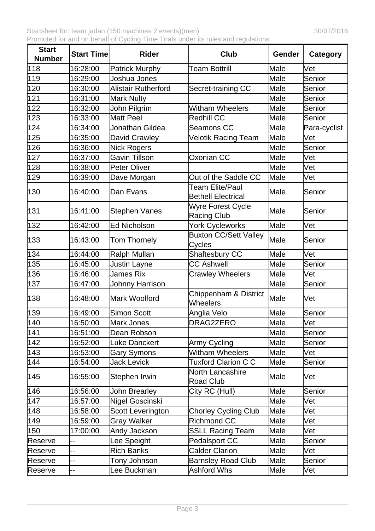| <b>Start</b><br><b>Number</b> | <b>Start Time</b> | <b>Rider</b>               | Club                                                | Gender | Category     |
|-------------------------------|-------------------|----------------------------|-----------------------------------------------------|--------|--------------|
| 118                           | 16:28:00          | <b>Patrick Murphy</b>      | <b>Team Bottrill</b>                                | Male   | Vet          |
| 119                           | 16:29:00          | Joshua Jones               |                                                     | Male   | Senior       |
| 120                           | 16:30:00          | <b>Alistair Rutherford</b> | Secret-training CC                                  | Male   | Senior       |
| 121                           | 16:31:00          | <b>Mark Nulty</b>          |                                                     | Male   | Senior       |
| 122                           | 16:32:00          | John Pilgrim               | <b>Witham Wheelers</b>                              | Male   | Senior       |
| 123                           | 16:33:00          | Matt Peel                  | Redhill CC                                          | Male   | Senior       |
| 124                           | 16:34:00          | Jonathan Gildea            | Seamons CC                                          | Male   | Para-cyclist |
| 125                           | 16:35:00          | <b>David Crawley</b>       | Velotik Racing Team                                 | Male   | Vet          |
| 126                           | 16:36:00          | Nick Rogers                |                                                     | Male   | Senior       |
| 127                           | 16:37:00          | <b>Gavin Tillson</b>       | Oxonian CC                                          | Male   | Vet          |
| 128                           | 16:38:00          | Peter Oliver               |                                                     | Male   | Vet          |
| 129                           | 16:39:00          | Dave Morgan                | Out of the Saddle CC                                | Male   | Vet          |
| 130                           | 16:40:00          | Dan Evans                  | <b>Team Elite/Paul</b><br><b>Bethell Electrical</b> | Male   | Senior       |
| 131                           | 16:41:00          | <b>Stephen Vanes</b>       | Wyre Forest Cycle<br><b>Racing Club</b>             | Male   | Senior       |
| 132                           | 16:42:00          | <b>Ed Nicholson</b>        | York Cycleworks                                     | Male   | Vet          |
| 133                           | 16:43:00          | Tom Thornely               | <b>Buxton CC/Sett Valley</b><br>Cycles              | Male   | Senior       |
| 134                           | 16:44:00          | Ralph Mullan               | Shaftesbury CC                                      | Male   | Vet          |
| 135                           | 16:45:00          | <b>Justin Layne</b>        | <b>CC Ashwell</b>                                   | Male   | Senior       |
| 136                           | 16:46:00          | James Rix                  | <b>Crawley Wheelers</b>                             | Male   | Vet          |
| 137                           | 16:47:00          | Johnny Harrison            |                                                     | Male   | Senior       |
| 138                           | 16:48:00          | Mark Woolford              | Chippenham & District<br>Wheelers                   | Male   | Vet          |
| 139                           | 16:49:00          | <b>Simon Scott</b>         | Anglia Velo                                         | Male   | Senior       |
| 140                           | 16:50:00          | Mark Jones                 | DRAG2ZERO                                           | Male   | Vet          |
| 141                           | 16:51:00          | Dean Robson                |                                                     | Male   | Senior       |
| 142                           | 16:52:00          | <b>Luke Danckert</b>       | Army Cycling                                        | Male   | Senior       |
| 143                           | 16:53:00          | <b>Gary Symons</b>         | <b>Witham Wheelers</b>                              | Male   | Vet          |
| 144                           | 16:54:00          | <b>Jack Levick</b>         | <b>Tuxford Clarion C C</b>                          | Male   | Senior       |
| 145                           | 16:55:00          | Stephen Irwin              | North Lancashire<br><b>Road Club</b>                | Male   | Vet          |
| 146                           | 16:56:00          | John Brearley              | City RC (Hull)                                      | Male   | Senior       |
| 147                           | 16:57:00          | Nigel Goscinski            |                                                     | Male   | Vet          |
| 148                           | 16:58:00          | Scott Leverington          | <b>Chorley Cycling Club</b>                         | Male   | Vet          |
| 149                           | 16:59:00          | <b>Gray Walker</b>         | <b>Richmond CC</b>                                  | Male   | Vet          |
| 150                           | 17:00:00          | Andy Jackson               | <b>SSLL Racing Team</b>                             | Male   | Vet          |
| Reserve                       | --                | ee Speight                 | <b>Pedalsport CC</b>                                | Male   | Senior       |
| Reserve                       | --                | <b>Rich Banks</b>          | <b>Calder Clarion</b>                               | Male   | Vet          |
| Reserve                       | --                | Tony Johnson               | <b>Barnsley Road Club</b>                           | Male   | Senior       |
| Reserve                       | --                | ee Buckman                 | <b>Ashford Whs</b>                                  | Male   | Vet          |